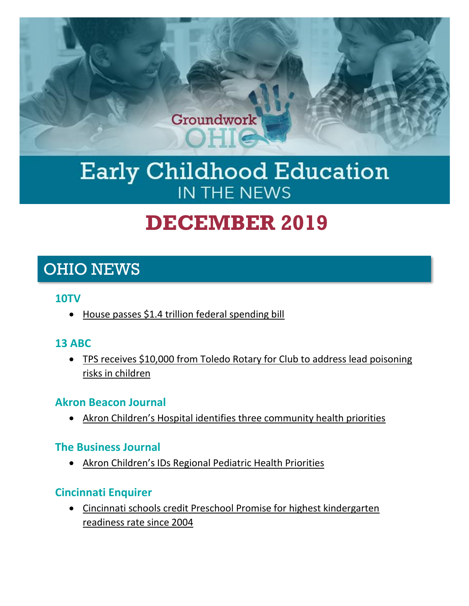

# Early Childhood Education IN THE NEWS

# **DECEMBER 2019**

# OHIO NEWS

#### **10TV**

• [House passes \\$1.4 trillion federal spending bill](https://www.10tv.com/article/house-passes-14-trillion-federal-spending-bill-2020-jan)

# **13 ABC**

• [TPS receives \\$10,000 from Toledo Rotary for Club to address lead poisoning](https://www.13abc.com/content/news/TPS-receives-10000-from-Toledo-Rotary-for-Club-to-address-lead-poisoning-risks-in-children--565690411.html)  [risks in children](https://www.13abc.com/content/news/TPS-receives-10000-from-Toledo-Rotary-for-Club-to-address-lead-poisoning-risks-in-children--565690411.html)

# **Akron Beacon Journal**

• [Akron Children's Hospital identifies three community health priorities](https://www.beaconjournal.com/news/20191203/akron-childrenrsquos-hospital-identifies-three-community-health-priorities)

#### **The Business Journal**

• [Akron Children's IDs Regional Pediatric Health Priorities](https://businessjournaldaily.com/akron-childrens-ids-pediatric-health-priorities/)

# **Cincinnati Enquirer**

• [Cincinnati schools credit Preschool Promise for highest kindergarten](https://www.cincinnati.com/story/news/2019/12/19/cincinnati-schools-credit-preschool-promise-high-kindergarten-readiness-rate/2574969001/)  [readiness rate since 2004](https://www.cincinnati.com/story/news/2019/12/19/cincinnati-schools-credit-preschool-promise-high-kindergarten-readiness-rate/2574969001/)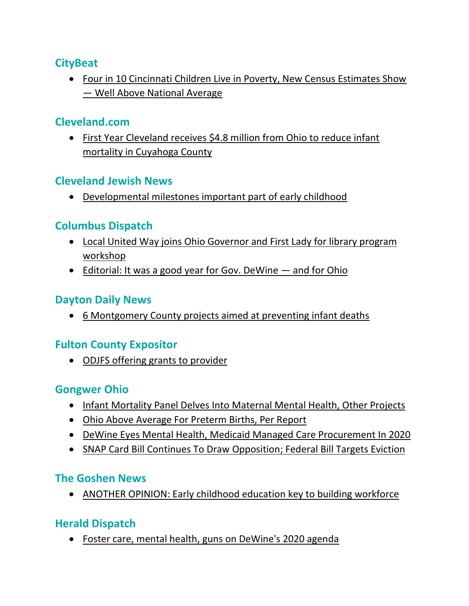# **CityBeat**

• [Four in 10 Cincinnati Children Live in Poverty, New Census Estimates Show](https://www.citybeat.com/news/blog/21107351/four-in-ten-cincinnati-children-live-in-poverty-new-census-estimates-show-well-above-national-average)  — [Well Above National Average](https://www.citybeat.com/news/blog/21107351/four-in-ten-cincinnati-children-live-in-poverty-new-census-estimates-show-well-above-national-average)

# **Cleveland.com**

• [First Year Cleveland receives \\$4.8 million from Ohio to reduce infant](https://www.cleveland.com/metro/2019/11/first-year-cleveland-receives-48-million-from-ohio-to-reduce-infant-mortality-in-cuyahoga-county.html)  [mortality in Cuyahoga County](https://www.cleveland.com/metro/2019/11/first-year-cleveland-receives-48-million-from-ohio-to-reduce-infant-mortality-in-cuyahoga-county.html)

# **Cleveland Jewish News**

• [Developmental milestones important part of early childhood](https://www.clevelandjewishnews.com/features/special_sections/education/developmental-milestones-important-part-of-early-childhood/article_efcdf3be-151b-11ea-b44a-4fa01217dc3b.html)

# **Columbus Dispatch**

- [Local United Way joins Ohio Governor and First Lady for library program](https://www.dispatch.com/news/20191216/local-united-way-joins-ohio-governor-and-first-lady-for-library-program-workshop)  [workshop](https://www.dispatch.com/news/20191216/local-united-way-joins-ohio-governor-and-first-lady-for-library-program-workshop)
- [Editorial: It was a good year for Gov. DeWine](https://www.dispatch.com/opinion/20191222/editorial-it-was-good-year-for-gov-dewine---and-for-ohio?template=ampart)  and for Ohio

# **Dayton Daily News**

• [6 Montgomery County projects aimed at preventing infant deaths](https://www.daytondailynews.com/news/local/new-ohio-funds-aimed-lowering-infant-deaths-here/Vis1TSrKtrJoG6cCfE292J/)

# **Fulton County Expositor**

• [ODJFS offering grants to provider](https://www.fcnews.org/news/22635/odjfs-offering-grants-to-provider)

# **Gongwer Ohio**

- [Infant Mortality Panel Delves Into Maternal Mental Health, Other Projects](https://www.gongwer-oh.com/programming/news.cfm?article_ID=882360204)
- [Ohio Above Average For Preterm Births, Per Report](https://www.gongwer-oh.com/programming/news.cfm?article_ID=882360205)
- [DeWine Eyes Mental Health, Medicaid Managed Care Procurement In 2020](https://www.gongwer-oh.com/programming/news.cfm?article_ID=882420201&CFID=948141&CFTOKEN=e4f0bb9cbb979238-AD6B01C6-E321-9182-1CC9A62061BFDD2D)
- [SNAP Card Bill Continues To Draw Opposition; Federal Bill Targets Eviction](https://www.gongwer-oh.com/programming/news.cfm?article_ID=882420209&CFID=948141&CFTOKEN=e4f0bb9cbb979238-AD6B01C6-E321-9182-1CC9A62061BFDD2D)

# **The Goshen News**

• [ANOTHER OPINION: Early childhood education key to building workforce](https://www.goshennews.com/opinion/another-opinion-early-childhood-education-key-to-building-workforce/article_ded9b842-111d-11ea-8fbe-876232226745.html)

# **Herald Dispatch**

• [Foster care, mental health, guns on DeWine's 2020 agenda](https://www.herald-dispatch.com/ap/foster-care-mental-health-guns-on-dewine-s-agenda/article_bc3cb01d-158b-5ee0-acbd-989051722fa2.html)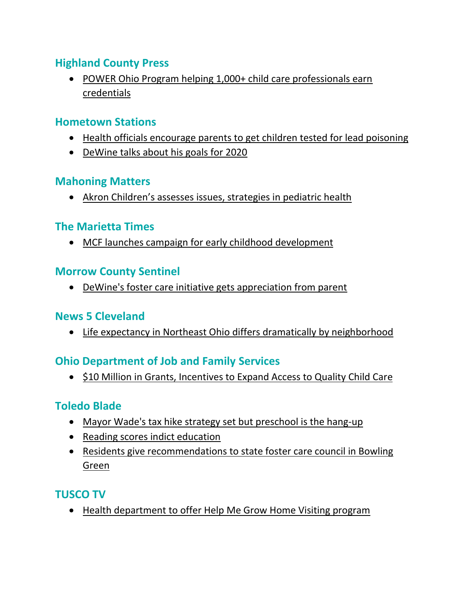# **Highland County Press**

• [POWER Ohio Program helping 1,000+ child care professionals earn](https://highlandcountypress.com/Content/In-The-News/In-The-News/Article/POWER-Ohio-Program-helping-1-000-child-care-professionals-earn-credentials/2/20/54512)  [credentials](https://highlandcountypress.com/Content/In-The-News/In-The-News/Article/POWER-Ohio-Program-helping-1-000-child-care-professionals-earn-credentials/2/20/54512)

#### **Hometown Stations**

- [Health officials encourage parents to get children tested for lead poisoning](https://www.hometownstations.com/news/allen_county/health-officials-encourage-parents-to-get-children-tested-for-lead/article_2a951aa4-1acb-11ea-83c0-174ba8b0ebb7.html)
- [DeWine talks about his goals for 2020](https://www.hometownstations.com/news/dewine-talks-about-his-goals-for/article_2def48e4-2cd9-11ea-9f5d-879e90740234.html)

# **Mahoning Matters**

• [Akron Children's assesses issues, strategies in pediatric health](https://www.mahoningmatters.com/local-news/akron-childrens-assesses-issues-strategies-in-pediatric-health-1897466)

# **The Marietta Times**

• [MCF launches campaign for early childhood development](https://www.mariettatimes.com/news/neighborhood-news/2019/12/mcf-launches-campaign-for-early-childhood-development/)

# **Morrow County Sentinel**

• [DeWine's foster care initiative gets appreciation from parent](https://www.morrowcountysentinel.com/news/29291/dewines-foster-care-initiative-gets-appreciation-from-parent)

# **News 5 Cleveland**

• [Life expectancy in Northeast Ohio differs dramatically by neighborhood](https://www.news5cleveland.com/news/local-news/oh-cuyahoga/life-expectancy-in-northeast-ohio-differs-dramatically-by-neighborhood)

# **Ohio Department of Job and Family Services**

• [\\$10 Million in Grants, Incentives to Expand Access to Quality Child Care](http://jfs.ohio.gov/RELEASES/pdf/122019-10-million-in-grants-incentives-for-child-care.stm?fbclid=IwAR2ycCSOXA8LwzYWH2C-CcfuKPH_WFUUf-Nt4CSXq9UhQdtu-S6-Ad9-v3g)

# **Toledo Blade**

- [Mayor Wade's tax hike strategy set but preschool is the hang-up](https://www.toledoblade.com/opinion/columnists/2019/11/29/toledo-mayor-tax-hike-strategy-already-hung-up-on-council-unbelievers-1/stories/20191128123)
- [Reading scores indict education](https://www.toledoblade.com/opinion/editorials/2019/11/29/reading-scores-indict-us-education-progress/stories/20191105139)
- [Residents give recommendations to state foster care council in Bowling](https://www.toledoblade.com/local/community-events/2019/12/09/northwest-ohioans-give-recommendations-to-state-foster-care-council/stories/20191209180)  [Green](https://www.toledoblade.com/local/community-events/2019/12/09/northwest-ohioans-give-recommendations-to-state-foster-care-council/stories/20191209180)

# **TUSCO TV**

• [Health department to offer Help Me Grow Home Visiting program](https://tusco.tv/news/health-department-take-over-help-me-grow-home-visiting-program)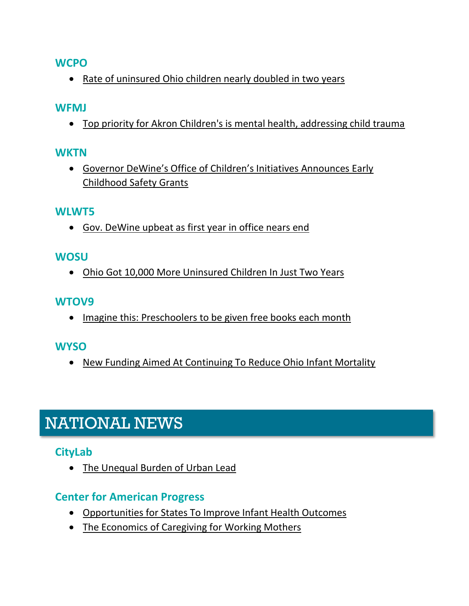#### **WCPO**

• [Rate of uninsured Ohio children nearly doubled in two years](https://www.wcpo.com/news/local-news/rate-of-uninsured-ohio-children-increased-by-nearly-double-in-two-years)

#### **WFMJ**

• [Top priority for Akron Children's is mental health, addressing child trauma](https://www.wfmj.com/story/41403414/top-priority-for-akron-childrens-is-mental-health-addressing-child-trauma)

#### **WKTN**

• [Governor DeWine's Office of Children's Initiatives Announces Early](https://wktn.com/governor-dewines-office-of-childrens-initiatives-announces-early-childhood-safety-grants)  [Childhood Safety Grants](https://wktn.com/governor-dewines-office-of-childrens-initiatives-announces-early-childhood-safety-grants)

#### **WLWT5**

• [Gov. DeWine upbeat as first year in office nears end](https://www.wlwt.com/article/gov-dewine-upbeat-as-first-year-in-office-nears-end/30200717)

#### **WOSU**

• [Ohio Got 10,000 More Uninsured Children In Just Two Years](https://radio.wosu.org/post/ohio-got-10000-more-uninsured-children-just-two-years?fbclid=IwAR18hVezbsHLG4mSwuADArT4HBhvrUppFKS-XibNrllYEgBNB74eMfZSN7Y#stream/0)

#### **WTOV9**

• [Imagine this: Preschoolers to be given free books each month](https://wtov9.com/news/bright-spot/imagine-this-preschoolers-to-be-given-free-books-each-month)

# **WYSO**

• [New Funding Aimed At Continuing To Reduce Ohio Infant Mortality](https://www.wyso.org/post/new-funding-aimed-continuing-reduce-ohio-infant-mortality)

# NATIONAL NEWS

# **CityLab**

• [The Unequal Burden of Urban Lead](https://www.citylab.com/environment/2020/01/lead-poisoning-toxic-paint-pipes-health-iq-crime-baltimore/604201/)

# **Center for American Progress**

- [Opportunities for States To Improve Infant Health Outcomes](https://www.americanprogress.org/issues/early-childhood/reports/2019/12/17/478382/opportunities-states-improve-infant-health-outcomes/)
- [The Economics of Caregiving for Working Mothers](https://www.americanprogress.org/issues/early-childhood/reports/2019/12/10/478387/economics-caregiving-working-mothers/?fbclid=IwAR04G8_yK5EjNh9ltbOa4PHlK60VA0ixPb_ZKkpEHpMuZwdu7FCIq_Auhf4)